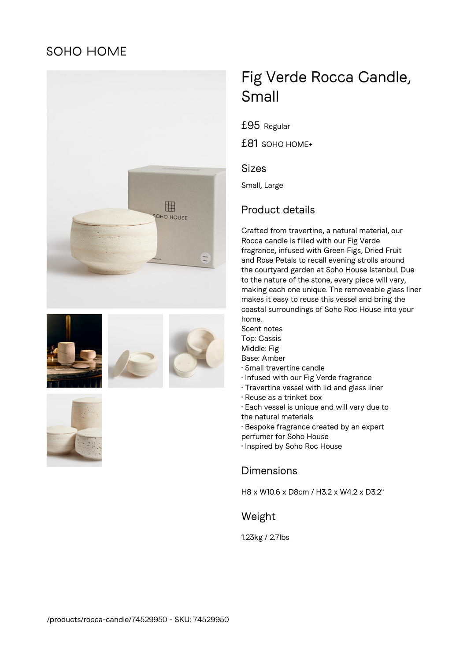## **SOHO HOME**









# Fig Verde Rocca Candle, Small

£95 Regular

£81 SOHO HOME+

#### Sizes

Small, Large

## Product details

Crafted from travertine, a natural material, our Rocca candle is filled with our Fig Verde fragrance, infused with Green Figs, Dried Fruit and Rose Petals to recall evening strolls around the courtyard garden at Soho House Istanbul. Due to the nature of the stone, every piece will vary, making each one unique. The removeable glass liner makes it easy to reuse this vessel and bring the coastal surroundings of Soho Roc House into your home.

- Scent notes Top: Cassis Middle: Fig Base: Amber
- Small travertine candle
- Infused with our Fig Verde fragrance
- Travertine vessel with lid and glass liner
- Reuse as a trinket box
- Each vessel is unique and will vary due to the natural materials
- Bespoke fragrance created by an expert perfumer for Soho House
- Inspired by Soho Roc House

## Dimensions

H8 x W10.6 x D8cm / H3.2 x W4.2 x D3.2"

#### Weight

1.23kg / 2.7lbs